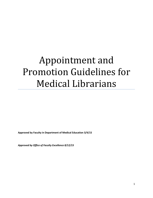# Appointment and Promotion Guidelines for Medical Librarians

**Approved by Faculty in Department of Medical Education 3/4/15**

*Approved by Office of Faculty Excellence 8/12/15*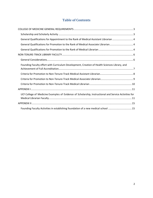# **Table of Contents**

| General Qualifications for Appointment to the Rank of Medical Assistant Librarian  4                  |
|-------------------------------------------------------------------------------------------------------|
| General Qualifications for Promotion to the Rank of Medical Associate Librarian4                      |
|                                                                                                       |
|                                                                                                       |
|                                                                                                       |
| Founding Faculty effort with Curriculum Development, Creation of Health Sciences Library, and         |
|                                                                                                       |
|                                                                                                       |
|                                                                                                       |
|                                                                                                       |
| UCF College of Medicine Examples of Evidence of Scholarship, Instructional and Service Activities for |
|                                                                                                       |
| Founding Faculty Activities in establishing foundation of a new medical school  15                    |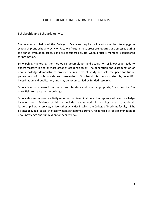#### **COLLEGE OF MEDICINE GENERAL REQUIREMENTS**

#### <span id="page-2-1"></span><span id="page-2-0"></span>**Scholarship and Scholarly Activity**

The academic mission of the College of Medicine requires all faculty members to engage in scholarship and scholarly activity. Faculty efforts in these areas are reported and assessed during the annual evaluation process and are considered pivotal when a faculty member is considered for promotion.

Scholarship, marked by the methodical accumulation and acquisition of knowledge leads to expert mastery in one or more areas of academic study. The generation and dissemination of new knowledge demonstrates proficiency in a field of study and sets the pace for future generations of professionals and researchers. Scholarship is demonstrated by scientific investigation and publication, and may be accompanied by funded research.

Scholarly activity draws from the current literature and, when appropriate, "best practices" in one's field to create new knowledge.

Scholarship and scholarly activity requires the dissemination and acceptance of new knowledge by one's peers. Evidence of this can include creative works in teaching, research, academic leadership, library services, and/or other activities in which the College of Medicine faculty might be engaged. In all cases, the faculty member assumes primary responsibility for dissemination of new knowledge and submission for peer review.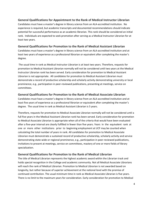#### <span id="page-3-0"></span>**General Qualifications for Appointment to the Rank of Medical Instructor Librarian**

Candidates must have a master's degree in library science from an ALA-accredited institution. No experience is required, but academic transcripts and documented recommendations should indicate potential for successful performance as an academic librarian. This rank should be considered an initial rank. Individuals are expected to seek promotion after serving as a Medical Instructor Librarian for at least two years.

### <span id="page-3-1"></span>**General Qualifications for Promotion to the Rank of Medical Assistant Librarian**

Candidates must have a master's degree in library science from an ALA-accredited institution and at least two years of experience as a professional librarian or equivalent after completing the master's degree.

The usual time in rank as Medical Instructor Librarian is at least two years. Therefore, requests for promotion to Medical Assistant Librarian normally will not be considered until two years at the Medical Instructor Librarian rank has been served. Early consideration for promotion to Medical Assistant Librarian is not appropriate. All candidates for promotion to Medical Assistant Librarian must demonstrate a record of productive scholarship and scholarly activity demonstrating university or local prominence, e.g., participation in peer-reviewed publications, presenting at meetings, service on committees.

#### **General Qualifications for Promotion to the Rank of Medical Associate Librarian**

Candidates must have a master's degree in library science from an ALA-accredited institution and at least five years of experience as a professional librarian or equivalent after completing the master's degree. The usual time in rank as Medical Assistant Librarian is 5 years.

Therefore, requests for promotion to Medical Associate Librarian normally will not be considered until a full five years in the Medical Assistant Librarian rank has been served. Early consideration for promotion to Medical Associate Librarian is appropriate when all of the criteria that would have been evaluated after a five-year interval are clearly fulfilled in fewer than five years. Years in the equivalent rank at one or more other institutions prior to beginning employment at UCF may be counted when calculating the total number of years in rank. All candidates for promotion to Medical Associate Librarian must demonstrate a sustained record of productive scholarship, scholarly activity and service demonstrating state-wide or regional prominence, e.g., participation in peer-reviewed publications, invitations to present at meetings, service on committees, mastery of one or more fields of library specialization.

#### <span id="page-3-2"></span>**General Qualifications for Promotion to the Rank of Medical Librarian**

The title of Medical Librarian represents the highest academic award within the Librarian track and holds special recognition in the College and academic community. Not all Medical Associate Librarians will reach the rank of Medical Librarian. Promotion to Medical Librarian is not awarded based on longevity, but rather because of superior achievement at the national level with the promise of continued contribution. The usual minimum time in rank as Medical Associate Librarian is five years. There is no limit to the maximum years for consideration. Early consideration for promotion to Medical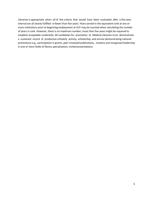Librarian is appropriate when all of the criteria that would have been evaluated after a five-year interval are all clearly fulfilled in fewer than five years. Years served in the equivalent rank at one or more institutions prior to beginning employment at UCF may be counted when calculating the number of years in rank. However, there is no maximum number; more than five years might be required to establish acceptable credentials. All candidates for promotion to Medical Librarian must demonstrate a sustained record of productive scholarly activity, scholarship, and service demonstrating national prominence e.g., participation in grants, peer-reviewed publications, mastery and recognized leadership in one or more fields of library specialization, invited presentations.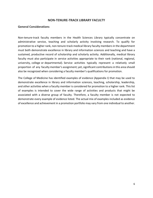#### **NON-TENURE-TRACK LIBRARY FACULTY**

#### <span id="page-5-1"></span><span id="page-5-0"></span>**General Considerations**

Non-tenure-track faculty members in the Health Sciences Library typically concentrate on administrative service, teaching and scholarly activity involving research. To qualify for promotion to a higher rank, non-tenure-track medical library faculty members in the department must both demonstrate excellence in library and information sciences and teaching and have a sustained, productive record of scholarship and scholarly activity. Additionally, medical library faculty must also participate in service activities appropriate to their rank (national, regional, university, college or departmental). Service activities typically represent a relatively small proportion of any faculty member's assignment; yet, significant contributions in this area should also be recognized when considering a faculty member's qualifications for promotion.

The College of Medicine has identified examples of evidence (Appendix I) that may be used to demonstrate excellence in library and information sciences, teaching, scholarship, leadership, and other activities when a faculty member is considered for promotion to a higher rank. This list of examples is intended to cover the wide range of activities and products that might be associated with a diverse group of faculty. Therefore, a faculty member is not expected to demonstrate every example of evidence listed. The actual mix of examples included as evidence of excellence and achievement in a promotion portfolio may vary from one individual to another.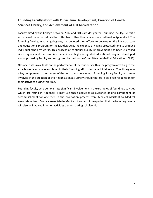# <span id="page-6-0"></span>**Founding Faculty effort with Curriculum Development, Creation of Health Sciences Library, and Achievement of Full Accreditation**

Faculty hired by the College between 2007 and 2013 are designated Founding Faculty. Specific activities of these individuals that differ from other library faculty are outlined in Appendix II. The founding faculty, in varying degrees, has devoted their efforts to developing the infrastructure and educational program for the MD degree at the expense of having protected time to produce individual scholarly works. This process of continual quality improvement has been exercised since day one and the result is a dynamic and highly integrated educational program developed and approved by faculty and recognized by the Liaison Committee on Medical Education (LCME).

National data is available on the performance of the students within the program attesting to the excellence faculty have exhibited in their founding efforts in these initial years. The library was a key component to the success of the curriculum developed. Founding library faculty who were involved in the creation of the Health Sciences Library should therefore be given recognition for their activities during this time.

Founding faculty who demonstrate significant involvement in the examples of founding activities which are found in Appendix II may use these activities as evidence of one component of accomplishment for one step in the promotion process from Medical Assistant to Medical Associate or from Medical Associate to Medical Librarian. It is expected that the founding faculty will also be involved in other activities demonstrating scholarship.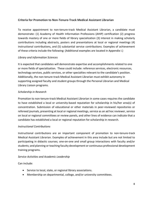## <span id="page-7-0"></span>**Criteria for Promotion to Non-Tenure-Track Medical Assistant Librarian**

To receive appointment to non-tenure-track Medical Assistant Librarian, a candidate must demonstrate: (1) Academy of Health Information Professions (AHIP) certification (2) progress towards mastery of one or more fields of library specialization (3) interest in making scholarly contributions including abstracts, posters and presentations at local or regional meetings (4) instructional contributions, and (5) substantial service contributions. Examples of achievement of these criteria include the following: (Additional examples are located in Appendix I.)

#### *Library and Information Sciences*

It is expected that candidates will demonstrate expertise and accomplishments related to one or more fields of specialization. These could include: reference services, electronic resources, technology services, public services, or other specialties relevant to the candidate's position. Additionally, the non-tenure-track Medical Assistant Librarian must exhibit autonomy in supporting assigned faculty and student groups through the Personal Librarian and Medical Library Liaison programs.

#### *Scholarship in Research*

Promotion to non-tenure-track Medical Assistant Librarian in some cases requires the candidate to have established a local or university-based reputation for scholarship in his/her area(s) of concentration. Submission of educational or other materials in peer-reviewed repositories or refereed journals, presenting at local or regional meetings, service as an ad hoc reviewer, service on local or regional committees or review panels, and other lines of evidence can indicate that a candidate has established a local or regional reputation for scholarship in research.

#### *Instructional Contributions*

Instructional contributions are an important component of promotion to non-tenure-track Medical Assistant Librarian. Examples of achievement in this area include but are not limited to participating in didactic courses; one-on-one and small group interactions with faculty and/or students; and planning or teaching faculty development or continuous professional development training programs.

#### *Service Activities and Academic Leadership*

Can include:

- Service to local, state, or regional library associations.
- Membership on departmental, college, and/or university committees.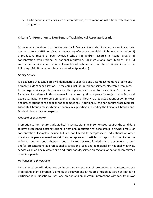Participation in activities such as accreditation, assessment, or institutional effectiveness programs.

#### <span id="page-8-0"></span>**Criteria for Promotion to Non-Tenure-Track Medical Associate Librarian**

To receive appointment to non-tenure-track Medical Associate Librarian, a candidate must demonstrate: (1) AHIP certification (2) mastery of one or more fields of library specialization (3) a productive record of peer-reviewed scholarship and/or research in his/her area(s) of concentration with regional or national reputation, (4) instructional contributions, and (5) substantial service contributions. Examples of achievement of these criteria include the following: (Additional examples are located in Appendix I.)

#### *Library Service*

It is expected that candidates will demonstrate expertise and accomplishments related to one or more fields of specialization. These could include: reference services, electronic resources, technology services, public services, or other specialties relevant to the candidate's position. Evidence of excellence in this area may include: recognition by peers for subject or professional expertise, invitations to serve on regional or national library-related associations or committees and presentations at regional or national meetings. Additionally, the non-tenure-track Medical Associate Librarian must exhibit autonomy in supporting and leading the Personal Librarian and Medical Library Liaison programs.

#### *Scholarship in Research*

Promotion to non-tenure-track Medical Associate Librarian in some cases requires the candidate to have established a strong regional or national reputation for scholarship in his/her area(s) of concentration. Examples include but are not limited to acceptance of educational or other materials in peer-reviewed repositories, acceptance of articles or reports for publication in refereed journals, book chapters, books, invited reviews, funded grant submissions, papers and/or presentations at professional associations, speaking at regional or national meetings, service as an ad hoc reviewer or on editorial boards, service on regional or national committees or review panels.

#### *Instructional Contributions*

Instructional contributions are an important component of promotion to non-tenure-track Medical Assistant Librarian. Examples of achievement in this area include but are not limited to participating in didactic courses; one-on-one and small group interactions with faculty and/or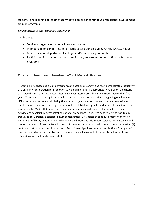students; and planning or leading faculty development or continuous professional development training programs.

*Service Activities and Academic Leadership*

Can include:

- Service to regional or national library associations.
- Membership on committees of affiliated associations including AAMC, AAHSL, HIMSS.
- Membership on departmental, college, and/or university committees.
- Participation in activities such as accreditation, assessment, or institutional effectiveness programs.

#### <span id="page-9-0"></span>**Criteria for Promotion to Non-Tenure-Track Medical Librarian**

Promotion is not based solely on performance at another university; one must demonstrate productivity at UCF. Early consideration for promotion to Medical Librarian is appropriate when all of the criteria that would have been evaluated after a five-year interval are all clearly fulfilled in fewer than five years. Years served in the equivalent rank at one or more institutions prior to beginning employment at UCF may be counted when calculating the number of years in rank. However, there is no maximum number; more than five years might be required to establish acceptable credentials. All candidates for promotion to Medical Librarian must demonstrate: a sustained record of productive scholarly activity and scholarship demonstrating national prominence. To receive appointment to non-tenuretrack Medical Librarian, a candidate must demonstrate: (1) evidence of continued mastery of one or more fields of library specialization (2) leadership in library and information science (3) a sustained and productive record of peer-reviewed scholarship demonstrating a national or international reputation, (4) continued instructional contributions, and (5) continued significant service contributions. Examples of the lines of evidence that may be used to demonstrate achievement of these criteria besides those listed above can be found in Appendix I.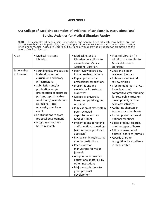## **APPENDIX I**

# <span id="page-10-1"></span><span id="page-10-0"></span>**UCF College of Medicine Examples of Evidence of Scholarship, Instructional and Service Activities for Medical Librarian Faculty**

NOTE: The examples of scholarship, instruction, and service listed at each rank below are not exclusive to that rank. In particular, those examples of excellence in scholarly activity and instruction listed under Medical Associate Librarian, if sustained, would provide evidence for promotion to the rank of Medical Librarian.

| Area                       | • Medical Assistant<br>Librarian                                                                                                                                                                                                                                                                                                                                                         | • Medical Associate<br>Librarian (In addition to<br>examples for Medical<br>Assistant Librarian)                                                                                                                                                                                                                                                                                                                                                                                                                                                                                                                                                                                                        | • Medical Librarian (In<br>addition to examples for<br><b>Medical Associate</b><br>Librarian)                                                                                                                                                                                                                                                                                                                                                                                                                                                           |
|----------------------------|------------------------------------------------------------------------------------------------------------------------------------------------------------------------------------------------------------------------------------------------------------------------------------------------------------------------------------------------------------------------------------------|---------------------------------------------------------------------------------------------------------------------------------------------------------------------------------------------------------------------------------------------------------------------------------------------------------------------------------------------------------------------------------------------------------------------------------------------------------------------------------------------------------------------------------------------------------------------------------------------------------------------------------------------------------------------------------------------------------|---------------------------------------------------------------------------------------------------------------------------------------------------------------------------------------------------------------------------------------------------------------------------------------------------------------------------------------------------------------------------------------------------------------------------------------------------------------------------------------------------------------------------------------------------------|
| Scholarship<br>in Research | • Founding faculty activities<br>in development of<br>curriculum and library<br>infrastructure<br>• Submission and/or<br>publication and/or<br>presentation of abstracts,<br>posters, reports and/or<br>workshops/presentations<br>at regional, local,<br>university or college<br>events<br>• Contributions to grant<br>proposal development<br>• Program evaluation-<br>based research | • Peer reviewed articles,<br>invited reviews, reports<br>• Papers presented at<br>professional associations<br>• Presentations and<br>workshops for external<br>audiences<br>• College or university-<br>based competitive grant<br>recipient<br>• Publication of materials in<br>peer-reviewed<br>depositories such as<br>MedEdPORTAL<br>• Presentations at regional<br>and/or national meetings<br>(with refereed published<br>abstracts)<br>· Invited seminars/lectures<br>at other institutions<br>• Peer review of<br>manuscripts for major<br>journals<br>• Adoption of innovative<br>educational materials by<br>other institutions<br>· Major contributions to<br>grant proposal<br>development | • Citations in peer-<br>reviewed journals<br>• Publication of invited<br>review articles<br>• Procurement (as PI or Co-<br>Investigator) of<br>competitive grant funding<br>for research, curriculum<br>development, or other<br>scholarly activities<br>• Authoring chapters in<br>textbook or other books<br>· Invited presentations at<br>national meetings<br>· Editor of text, research,<br>or other types of books<br>• Editor or member of<br>editorial board of journals<br>• Awards or other<br>recognition for excellence<br>in librarianship |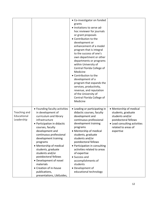|                                           |                                                                                                                                                                                                                                                                                                                                                                                                                                                | • Co-investigator on funded<br>grants<br>• Invitations to serve ad-<br>hoc reviewer for journals<br>or grant proposals<br>• Contribution to the<br>development or<br>enhancement of a model<br>program that is integral<br>to the success of one's<br>own department or other<br>departments or programs<br>within University of<br>Central Florida College of<br>Medicine<br>• Contribution to the<br>development of a<br>program that expands the<br>services, productivity,<br>revenue, and reputation<br>of the University of<br>Central Florida College of<br>Medicine |                                                                                                                                                              |
|-------------------------------------------|------------------------------------------------------------------------------------------------------------------------------------------------------------------------------------------------------------------------------------------------------------------------------------------------------------------------------------------------------------------------------------------------------------------------------------------------|-----------------------------------------------------------------------------------------------------------------------------------------------------------------------------------------------------------------------------------------------------------------------------------------------------------------------------------------------------------------------------------------------------------------------------------------------------------------------------------------------------------------------------------------------------------------------------|--------------------------------------------------------------------------------------------------------------------------------------------------------------|
| Teaching and<br>Educational<br>Leadership | • Founding faculty activities<br>in development of<br>curriculum and library<br>infrastructure<br>• Participation in didactic<br>courses, faculty<br>development and<br>continuous professional<br>development training<br>programs<br>• Mentorship of medical<br>students, graduate<br>students and/or<br>postdoctoral fellows<br>• Development of novel<br>materials<br>• Creation of in-house<br>publications,<br>presentations, LibGuides, | • Leading or participating in<br>didactic courses, faculty<br>development and<br>continuous professional<br>development training<br>programs<br>• Mentorship of medical<br>students, graduate<br>students and/or<br>postdoctoral fellows<br>• Participation in consulting<br>activities related to areas<br>of expertise<br>• Success and<br>accomplishments of<br>students<br>• Development of<br>educational technology                                                                                                                                                   | • Mentorship of medical<br>students, graduate<br>students and/or<br>postdoctoral fellows<br>• Lead consulting activities<br>related to areas of<br>expertise |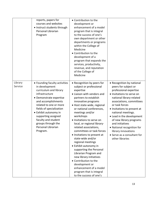|                    | reports, papers for<br>courses and websites<br>• Instruct students through<br>Personal Librarian<br>Program                                                                                                                                                                                                                        | • Contribution to the<br>development or<br>enhancement of a model<br>program that is integral<br>to the success of one's<br>own department or other<br>departments or programs<br>within the College of<br>Medicine<br>• Contribution to the<br>development of a<br>program that expands the<br>services, productivity,<br>revenue, and reputation<br>of the College of<br>Medicine                                                                                                                                                                                                                                                                                        |                                                                                                                                                                                                                                                                                                                                                                                                                           |
|--------------------|------------------------------------------------------------------------------------------------------------------------------------------------------------------------------------------------------------------------------------------------------------------------------------------------------------------------------------|----------------------------------------------------------------------------------------------------------------------------------------------------------------------------------------------------------------------------------------------------------------------------------------------------------------------------------------------------------------------------------------------------------------------------------------------------------------------------------------------------------------------------------------------------------------------------------------------------------------------------------------------------------------------------|---------------------------------------------------------------------------------------------------------------------------------------------------------------------------------------------------------------------------------------------------------------------------------------------------------------------------------------------------------------------------------------------------------------------------|
| Library<br>Service | • Founding faculty activities<br>in development<br>curriculum and library<br>infrastructure<br>• Demonstrate expertise<br>and accomplishments<br>related to one or more<br>fields of specialization<br>• Exhibit autonomy in<br>supporting assigned<br>faculty and student<br>groups through the<br>Personal Librarian<br>Program. | • Recognition by peers for<br>subject or professional<br>expertise<br>· Liaison with vendors and<br>partners to establish<br>innovative programs<br>· Host state-wide, regional<br>or national conferences,<br>meetings and/or<br>workshops<br>· Invitations to serve on<br>local, or regional library-<br>related associations,<br>committees or task forces<br>• Invitations to present at<br>state-wide and/or<br>regional meetings<br>• Exhibit autonomy in<br>supporting the Personal<br>Librarian Program and<br>new library initiatives<br>• Contribution to the<br>development or<br>enhancement of a model<br>program that is integral<br>to the success of one's | • Recognition by national<br>peers for subject or<br>professional expertise<br>· Invitations to serve on<br>national library-related<br>associations, committees<br>or task forces<br>• Invitations to present at<br>national meetings.<br>• Lead in the development<br>of new library programs<br>and initiatives<br>• National recognition for<br>library innovations<br>• Serve as a consultant for<br>other libraries |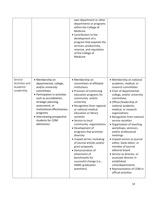|                                                     |                                                                                                                                                                                                                                                                                             | own department or other<br>departments or programs<br>within the College of<br>Medicine<br>• Contribution to the<br>development of a<br>program that expands the<br>services, productivity,<br>revenue, and reputation<br>of the College of<br>Medicine                                                                                                                                                                                                                                                                                                               |                                                                                                                                                                                                                                                                                                                                                                                                                                                                                                                                                                                                                                          |
|-----------------------------------------------------|---------------------------------------------------------------------------------------------------------------------------------------------------------------------------------------------------------------------------------------------------------------------------------------------|-----------------------------------------------------------------------------------------------------------------------------------------------------------------------------------------------------------------------------------------------------------------------------------------------------------------------------------------------------------------------------------------------------------------------------------------------------------------------------------------------------------------------------------------------------------------------|------------------------------------------------------------------------------------------------------------------------------------------------------------------------------------------------------------------------------------------------------------------------------------------------------------------------------------------------------------------------------------------------------------------------------------------------------------------------------------------------------------------------------------------------------------------------------------------------------------------------------------------|
| Service<br>Activities and<br>Academic<br>Leadership | • Membership on<br>departmental, college,<br>and/or university<br>committees<br>• Participation in activities<br>such as accreditation,<br>strategic planning,<br>assessment, or<br>institutional effectiveness<br>programs<br>• Interviewing prospective<br>students for COM<br>admissions | • Membership on<br>committees of affiliated<br>institutions<br>• Provision of continuing<br>education programs for<br>community and/or<br>university<br>• Recognition from regional<br>or national medical<br>education or library<br>societies<br>• Service to local<br>community organizations<br>• Development of<br>programs that promote<br>diversity<br>• Unpaid ad hoc reviewing<br>of journal articles and/or<br>grant proposals<br>• Demonstration of<br>attainment of<br>benchmarks for<br>successful change (i.e.,<br><b>AAMC</b> graduation<br>questions) | • Membership on national<br>academic, medical, or<br>research committees<br>• Chair of departmental,<br>college, and/or university<br>committees<br>• Officer/leadership of<br>national academic,<br>medical, or research<br>organizations<br>• Recognition from national<br>service societies<br>• Organization of teaching<br>workshops, seminars,<br>and/or professional<br>meetings<br>· Unpaid service as journal<br>editor, book editor, or<br>member of journal<br>editorial board<br>• Service as director, or<br>associate director in<br>established<br>units/departments<br>• Representation of COM in<br>official activities |